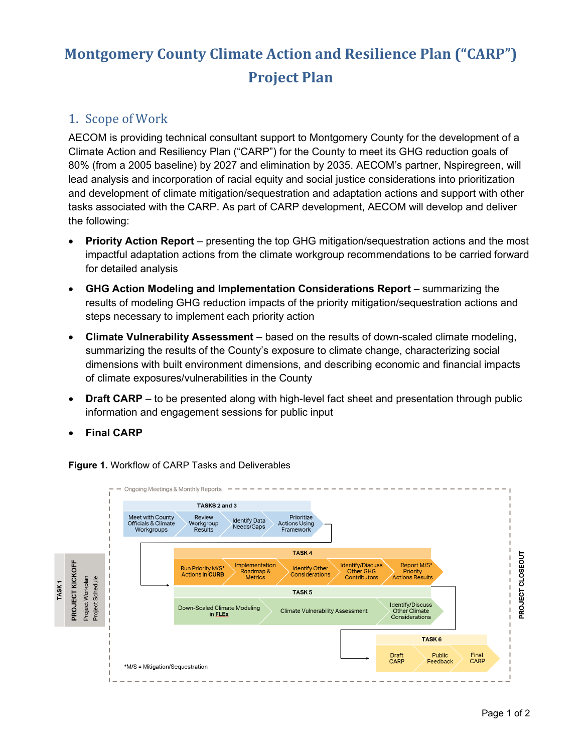# **Montgomery County Climate Action and Resilience Plan ("CARP") Project Plan**

### 1. Scope of Work

AECOM is providing technical consultant support to Montgomery County for the development of a Climate Action and Resiliency Plan ("CARP") for the County to meet its GHG reduction goals of 80% (from a 2005 baseline) by 2027 and elimination by 2035. AECOM's partner, Nspiregreen, will lead analysis and incorporation of racial equity and social justice considerations into prioritization and development of climate mitigation/sequestration and adaptation actions and support with other tasks associated with the CARP. As part of CARP development, AECOM will develop and deliver the following:

- **Priority Action Report** presenting the top GHG mitigation/sequestration actions and the most impactful adaptation actions from the climate workgroup recommendations to be carried forward for detailed analysis
- **GHG Action Modeling and Implementation Considerations Report** summarizing the results of modeling GHG reduction impacts of the priority mitigation/sequestration actions and steps necessary to implement each priority action
- **Climate Vulnerability Assessment** based on the results of down-scaled climate modeling, summarizing the results of the County's exposure to climate change, characterizing social dimensions with built environment dimensions, and describing economic and financial impacts of climate exposures/vulnerabilities in the County
- **Draft CARP** to be presented along with high-level fact sheet and presentation through public information and engagement sessions for public input
- **Final CARP**

**Figure 1.** Workflow of CARP Tasks and Deliverables